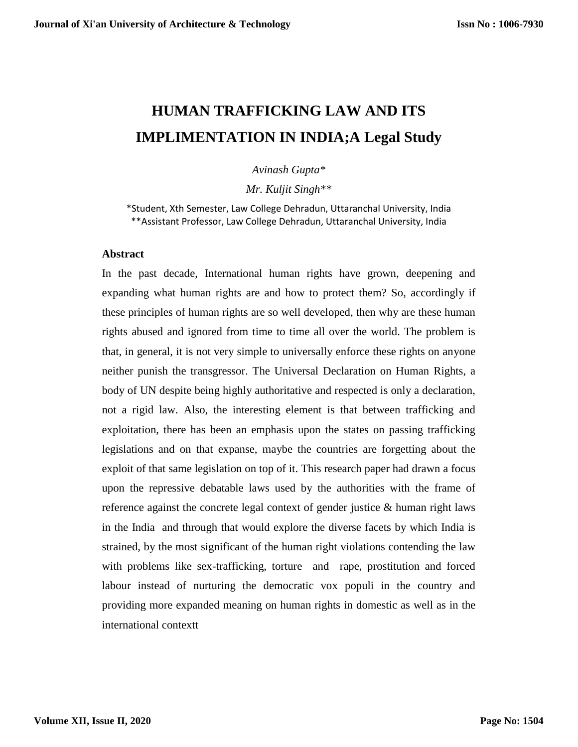# **HUMAN TRAFFICKING LAW AND ITS IMPLIMENTATION IN INDIA;A Legal Study**

*Avinash Gupta\**

*Mr. Kuljit Singh\*\**

\*Student, Xth Semester, Law College Dehradun, Uttaranchal University, India \*\*Assistant Professor, Law College Dehradun, Uttaranchal University, India

#### **Abstract**

In the past decade, International human rights have grown, deepening and expanding what human rights are and how to protect them? So, accordingly if these principles of human rights are so well developed, then why are these human rights abused and ignored from time to time all over the world. The problem is that, in general, it is not very simple to universally enforce these rights on anyone neither punish the transgressor. The Universal Declaration on Human Rights, a body of UN despite being highly authoritative and respected is only a declaration, not a rigid law. Also, the interesting element is that between trafficking and exploitation, there has been an emphasis upon the states on passing trafficking legislations and on that expanse, maybe the countries are forgetting about the exploit of that same legislation on top of it. This research paper had drawn a focus upon the repressive debatable laws used by the authorities with the frame of reference against the concrete legal context of gender justice & human right laws in the India and through that would explore the diverse facets by which India is strained, by the most significant of the human right violations contending the law with problems like sex-trafficking, torture and rape, prostitution and forced labour instead of nurturing the democratic vox populi in the country and providing more expanded meaning on human rights in domestic as well as in the international contextt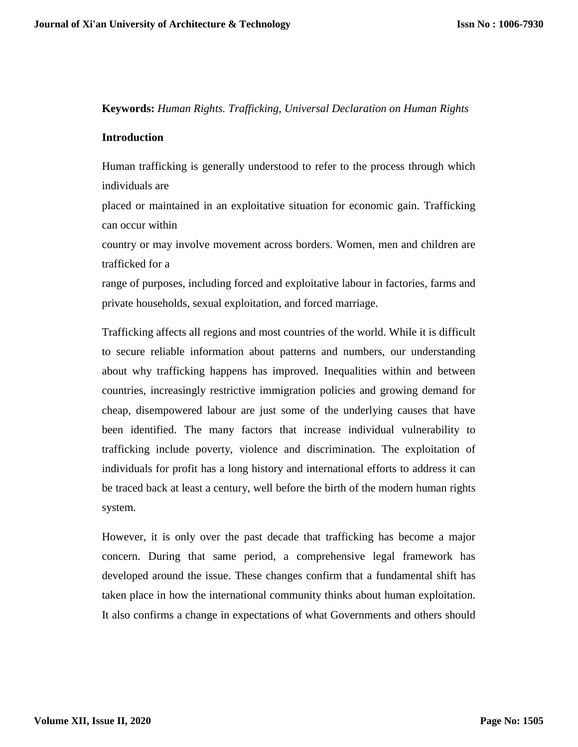**Keywords:** *Human Rights. Trafficking, Universal Declaration on Human Rights*

## **Introduction**

Human trafficking is generally understood to refer to the process through which individuals are

placed or maintained in an exploitative situation for economic gain. Trafficking can occur within

country or may involve movement across borders. Women, men and children are trafficked for a

range of purposes, including forced and exploitative labour in factories, farms and private households, sexual exploitation, and forced marriage.

Trafficking affects all regions and most countries of the world. While it is difficult to secure reliable information about patterns and numbers, our understanding about why trafficking happens has improved. Inequalities within and between countries, increasingly restrictive immigration policies and growing demand for cheap, disempowered labour are just some of the underlying causes that have been identified. The many factors that increase individual vulnerability to trafficking include poverty, violence and discrimination. The exploitation of individuals for profit has a long history and international efforts to address it can be traced back at least a century, well before the birth of the modern human rights system.

However, it is only over the past decade that trafficking has become a major concern. During that same period, a comprehensive legal framework has developed around the issue. These changes confirm that a fundamental shift has taken place in how the international community thinks about human exploitation. It also confirms a change in expectations of what Governments and others should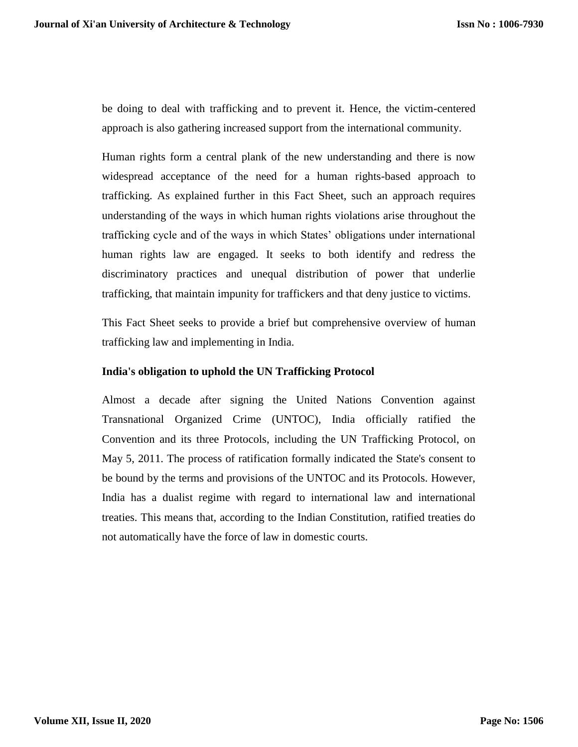be doing to deal with trafficking and to prevent it. Hence, the victim-centered approach is also gathering increased support from the international community.

Human rights form a central plank of the new understanding and there is now widespread acceptance of the need for a human rights-based approach to trafficking. As explained further in this Fact Sheet, such an approach requires understanding of the ways in which human rights violations arise throughout the trafficking cycle and of the ways in which States' obligations under international human rights law are engaged. It seeks to both identify and redress the discriminatory practices and unequal distribution of power that underlie trafficking, that maintain impunity for traffickers and that deny justice to victims.

This Fact Sheet seeks to provide a brief but comprehensive overview of human trafficking law and implementing in India.

## **India's obligation to uphold the UN Trafficking Protocol**

Almost a decade after signing the United Nations Convention against Transnational Organized Crime (UNTOC), India officially ratified the Convention and its three Protocols, including the UN Trafficking Protocol, on May 5, 2011. The process of ratification formally indicated the State's consent to be bound by the terms and provisions of the UNTOC and its Protocols. However, India has a dualist regime with regard to international law and international treaties. This means that, according to the Indian Constitution, ratified treaties do not automatically have the force of law in domestic courts.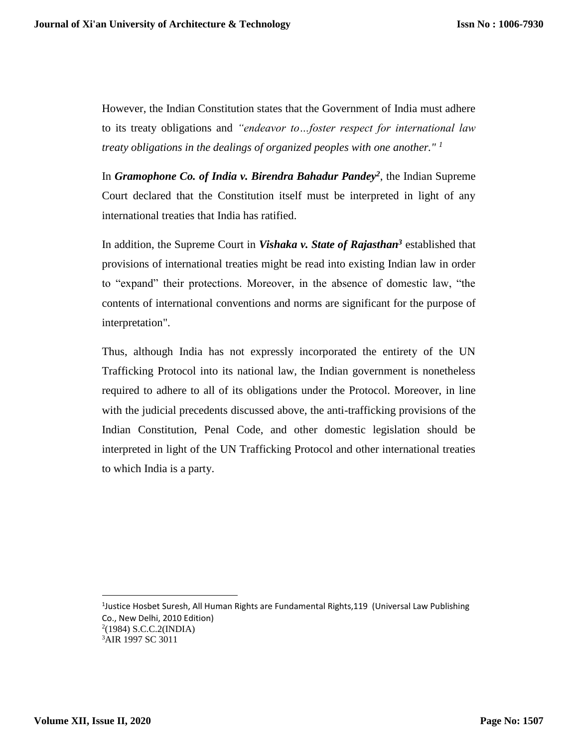However, the Indian Constitution states that the Government of India must adhere to its treaty obligations and *"endeavor to…foster respect for international law treaty obligations in the dealings of organized peoples with one another." <sup>1</sup>*

In *Gramophone Co. of India v. Birendra Bahadur Pandey<sup>2</sup>* , the Indian Supreme Court declared that the Constitution itself must be interpreted in light of any international treaties that India has ratified.

In addition, the Supreme Court in *Vishaka v. State of Rajasthan<sup>3</sup>* established that provisions of international treaties might be read into existing Indian law in order to "expand" their protections. Moreover, in the absence of domestic law, "the contents of international conventions and norms are significant for the purpose of interpretation".

Thus, although India has not expressly incorporated the entirety of the UN Trafficking Protocol into its national law, the Indian government is nonetheless required to adhere to all of its obligations under the Protocol. Moreover, in line with the judicial precedents discussed above, the anti-trafficking provisions of the Indian Constitution, Penal Code, and other domestic legislation should be interpreted in light of the UN Trafficking Protocol and other international treaties to which India is a party.

<sup>&</sup>lt;sup>1</sup>Justice Hosbet Suresh, All Human Rights are Fundamental Rights,119 (Universal Law Publishing Co., New Delhi, 2010 Edition) 2 (1984) S.C.C.2(INDIA) <sup>3</sup>AIR 1997 SC 3011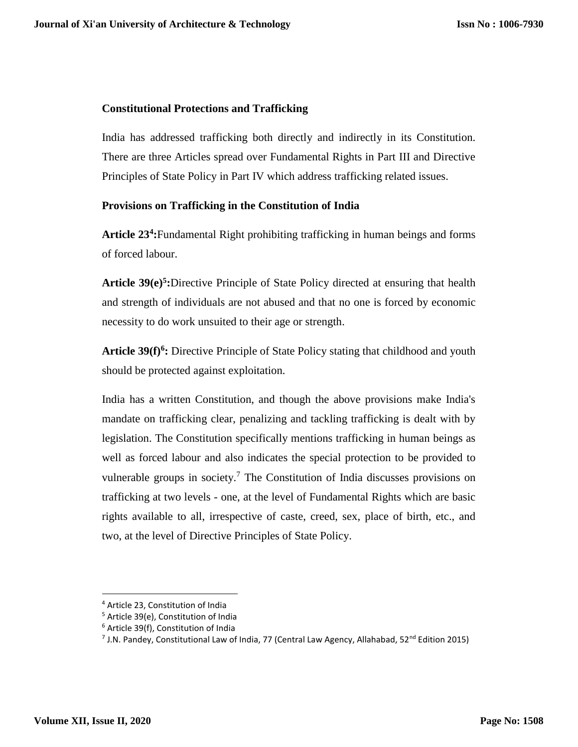# **Constitutional Protections and Trafficking**

India has addressed trafficking both directly and indirectly in its Constitution. There are three Articles spread over Fundamental Rights in Part III and Directive Principles of State Policy in Part IV which address trafficking related issues.

# **Provisions on Trafficking in the Constitution of India**

**Article 23<sup>4</sup> :**Fundamental Right prohibiting trafficking in human beings and forms of forced labour.

Article 39(e)<sup>5</sup>:Directive Principle of State Policy directed at ensuring that health and strength of individuals are not abused and that no one is forced by economic necessity to do work unsuited to their age or strength.

Article 39(f)<sup>6</sup>: Directive Principle of State Policy stating that childhood and youth should be protected against exploitation.

India has a written Constitution, and though the above provisions make India's mandate on trafficking clear, penalizing and tackling trafficking is dealt with by legislation. The Constitution specifically mentions trafficking in human beings as well as forced labour and also indicates the special protection to be provided to vulnerable groups in society.<sup>7</sup> The Constitution of India discusses provisions on trafficking at two levels - one, at the level of Fundamental Rights which are basic rights available to all, irrespective of caste, creed, sex, place of birth, etc., and two, at the level of Directive Principles of State Policy.

 $\overline{a}$ 

<sup>4</sup> Article 23, Constitution of India

<sup>5</sup> Article 39(e), Constitution of India

<sup>6</sup> Article 39(f), Constitution of India

<sup>&</sup>lt;sup>7</sup> J.N. Pandey, Constitutional Law of India, 77 (Central Law Agency, Allahabad, 52<sup>nd</sup> Edition 2015)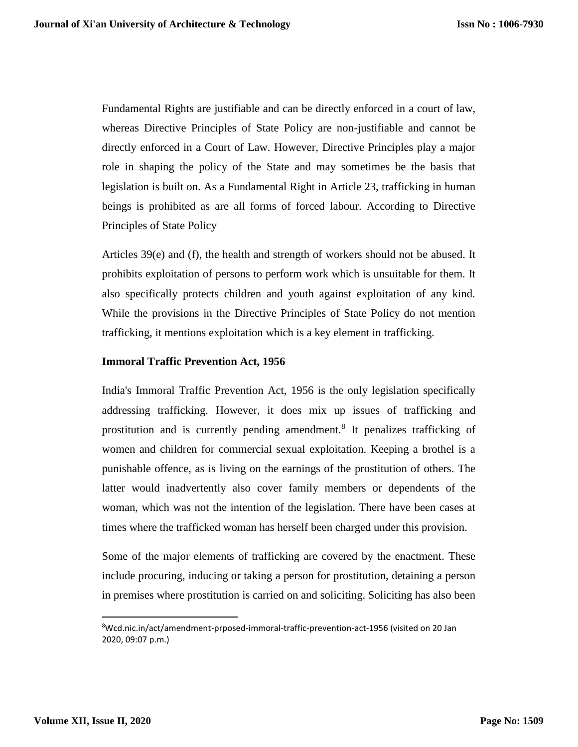Fundamental Rights are justifiable and can be directly enforced in a court of law, whereas Directive Principles of State Policy are non-justifiable and cannot be directly enforced in a Court of Law. However, Directive Principles play a major role in shaping the policy of the State and may sometimes be the basis that legislation is built on. As a Fundamental Right in Article 23, trafficking in human beings is prohibited as are all forms of forced labour. According to Directive Principles of State Policy

Articles 39(e) and (f), the health and strength of workers should not be abused. It prohibits exploitation of persons to perform work which is unsuitable for them. It also specifically protects children and youth against exploitation of any kind. While the provisions in the Directive Principles of State Policy do not mention trafficking, it mentions exploitation which is a key element in trafficking.

#### **Immoral Traffic Prevention Act, 1956**

India's Immoral Traffic Prevention Act, 1956 is the only legislation specifically addressing trafficking. However, it does mix up issues of trafficking and prostitution and is currently pending amendment.<sup>8</sup> It penalizes trafficking of women and children for commercial sexual exploitation. Keeping a brothel is a punishable offence, as is living on the earnings of the prostitution of others. The latter would inadvertently also cover family members or dependents of the woman, which was not the intention of the legislation. There have been cases at times where the trafficked woman has herself been charged under this provision.

Some of the major elements of trafficking are covered by the enactment. These include procuring, inducing or taking a person for prostitution, detaining a person in premises where prostitution is carried on and soliciting. Soliciting has also been

<sup>&</sup>lt;sup>8</sup>Wcd.nic.in/act/amendment-prposed-immoral-traffic-prevention-act-1956 (visited on 20 Jan 2020, 09:07 p.m.)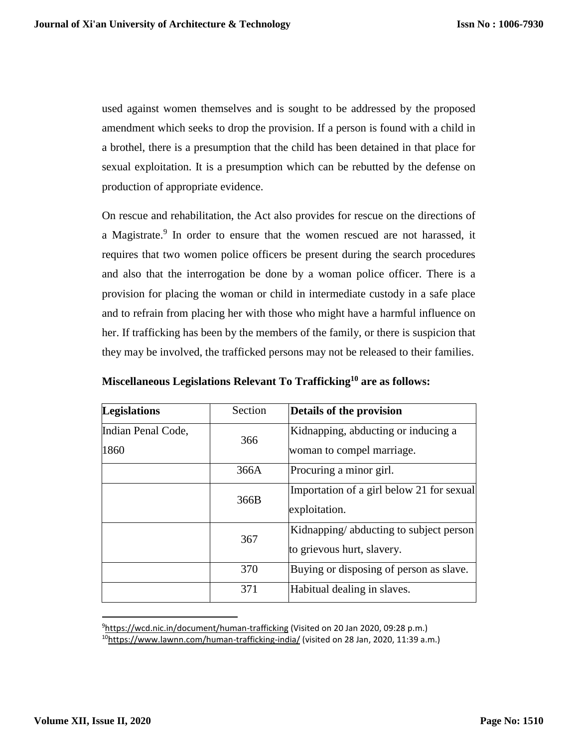used against women themselves and is sought to be addressed by the proposed amendment which seeks to drop the provision. If a person is found with a child in a brothel, there is a presumption that the child has been detained in that place for sexual exploitation. It is a presumption which can be rebutted by the defense on production of appropriate evidence.

On rescue and rehabilitation, the Act also provides for rescue on the directions of a Magistrate.<sup>9</sup> In order to ensure that the women rescued are not harassed, it requires that two women police officers be present during the search procedures and also that the interrogation be done by a woman police officer. There is a provision for placing the woman or child in intermediate custody in a safe place and to refrain from placing her with those who might have a harmful influence on her. If trafficking has been by the members of the family, or there is suspicion that they may be involved, the trafficked persons may not be released to their families.

| <b>Legislations</b> | Section | Details of the provision                  |  |  |
|---------------------|---------|-------------------------------------------|--|--|
| Indian Penal Code,  | 366     | Kidnapping, abducting or inducing a       |  |  |
| 1860                |         | woman to compel marriage.                 |  |  |
|                     | 366A    | Procuring a minor girl.                   |  |  |
|                     | 366B    | Importation of a girl below 21 for sexual |  |  |
|                     |         | exploitation.                             |  |  |
|                     | 367     | Kidnapping/abducting to subject person    |  |  |
|                     |         | to grievous hurt, slavery.                |  |  |
|                     | 370     | Buying or disposing of person as slave.   |  |  |
|                     | 371     | Habitual dealing in slaves.               |  |  |

**Miscellaneous Legislations Relevant To Trafficking<sup>10</sup> are as follows:**

l <sup>9</sup><https://wcd.nic.in/document/human-trafficking> (Visited on 20 Jan 2020, 09:28 p.m.)  $10$ <https://www.lawnn.com/human-trafficking-india/> (visited on 28 Jan, 2020, 11:39 a.m.)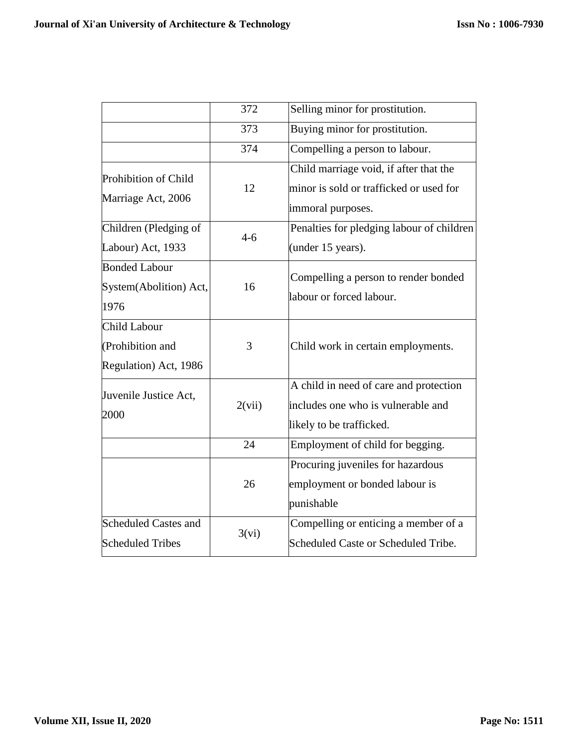|                                                                  | 372     | Selling minor for prostitution.                                                                          |
|------------------------------------------------------------------|---------|----------------------------------------------------------------------------------------------------------|
|                                                                  | 373     | Buying minor for prostitution.                                                                           |
|                                                                  | 374     | Compelling a person to labour.                                                                           |
| Prohibition of Child<br>Marriage Act, 2006                       | 12      | Child marriage void, if after that the<br>minor is sold or trafficked or used for<br>immoral purposes.   |
| Children (Pledging of                                            | $4 - 6$ | Penalties for pledging labour of children                                                                |
| Labour) Act, 1933                                                |         | (under 15 years).                                                                                        |
| <b>Bonded Labour</b><br>System(Abolition) Act,<br>1976           | 16      | Compelling a person to render bonded<br>labour or forced labour.                                         |
| <b>Child Labour</b><br>(Prohibition and<br>Regulation) Act, 1986 | 3       | Child work in certain employments.                                                                       |
| Juvenile Justice Act,<br>2000                                    | 2(vii)  | A child in need of care and protection<br>includes one who is vulnerable and<br>likely to be trafficked. |
|                                                                  | 24      | Employment of child for begging.                                                                         |
|                                                                  | 26      | Procuring juveniles for hazardous<br>employment or bonded labour is<br>punishable                        |
| <b>Scheduled Castes and</b><br><b>Scheduled Tribes</b>           | 3(vi)   | Compelling or enticing a member of a<br>Scheduled Caste or Scheduled Tribe.                              |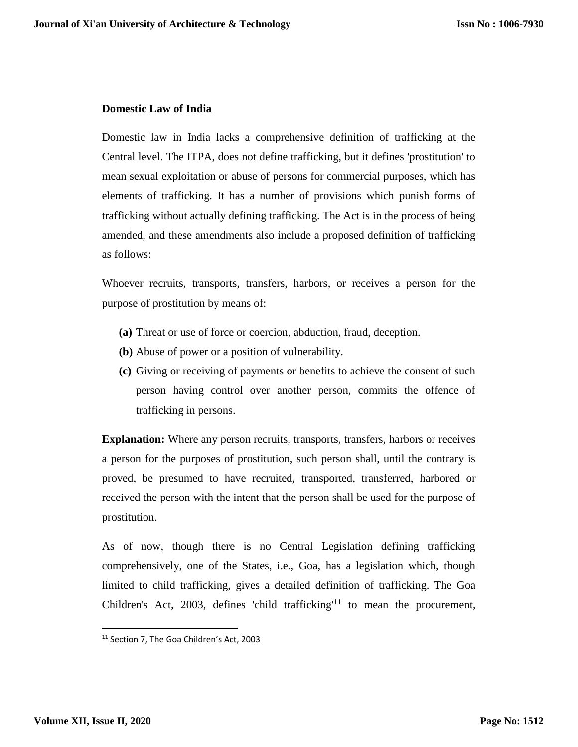# **Domestic Law of India**

Domestic law in India lacks a comprehensive definition of trafficking at the Central level. The ITPA, does not define trafficking, but it defines 'prostitution' to mean sexual exploitation or abuse of persons for commercial purposes, which has elements of trafficking. It has a number of provisions which punish forms of trafficking without actually defining trafficking. The Act is in the process of being amended, and these amendments also include a proposed definition of trafficking as follows:

Whoever recruits, transports, transfers, harbors, or receives a person for the purpose of prostitution by means of:

- **(a)** Threat or use of force or coercion, abduction, fraud, deception.
- **(b)** Abuse of power or a position of vulnerability.
- **(c)** Giving or receiving of payments or benefits to achieve the consent of such person having control over another person, commits the offence of trafficking in persons.

**Explanation:** Where any person recruits, transports, transfers, harbors or receives a person for the purposes of prostitution, such person shall, until the contrary is proved, be presumed to have recruited, transported, transferred, harbored or received the person with the intent that the person shall be used for the purpose of prostitution.

As of now, though there is no Central Legislation defining trafficking comprehensively, one of the States, i.e., Goa, has a legislation which, though limited to child trafficking, gives a detailed definition of trafficking. The Goa Children's Act, 2003, defines 'child trafficking'<sup>11</sup> to mean the procurement,

<sup>&</sup>lt;sup>11</sup> Section 7, The Goa Children's Act, 2003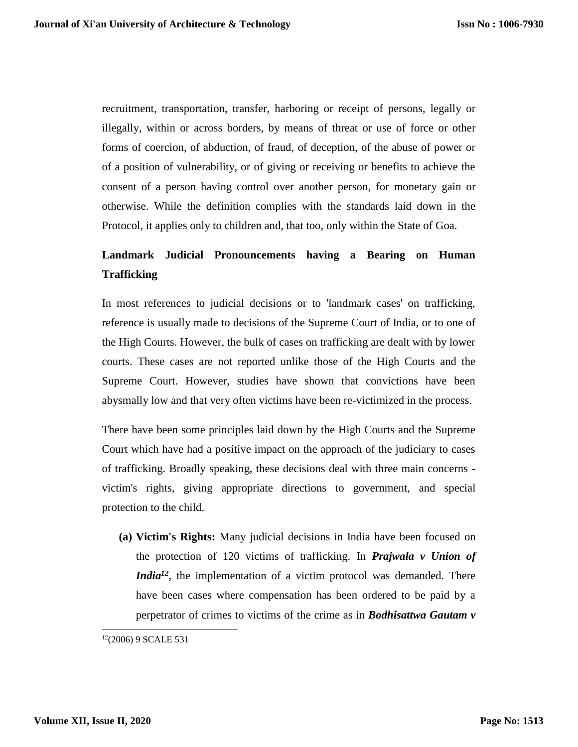recruitment, transportation, transfer, harboring or receipt of persons, legally or illegally, within or across borders, by means of threat or use of force or other forms of coercion, of abduction, of fraud, of deception, of the abuse of power or of a position of vulnerability, or of giving or receiving or benefits to achieve the consent of a person having control over another person, for monetary gain or otherwise. While the definition complies with the standards laid down in the Protocol, it applies only to children and, that too, only within the State of Goa.

# **Landmark Judicial Pronouncements having a Bearing on Human Trafficking**

In most references to judicial decisions or to 'landmark cases' on trafficking, reference is usually made to decisions of the Supreme Court of India, or to one of the High Courts. However, the bulk of cases on trafficking are dealt with by lower courts. These cases are not reported unlike those of the High Courts and the Supreme Court. However, studies have shown that convictions have been abysmally low and that very often victims have been re-victimized in the process.

There have been some principles laid down by the High Courts and the Supreme Court which have had a positive impact on the approach of the judiciary to cases of trafficking. Broadly speaking, these decisions deal with three main concerns victim's rights, giving appropriate directions to government, and special protection to the child.

**(a) Victim's Rights:** Many judicial decisions in India have been focused on the protection of 120 victims of trafficking. In *Prajwala v Union of India*<sup>12</sup>, the implementation of a victim protocol was demanded. There have been cases where compensation has been ordered to be paid by a perpetrator of crimes to victims of the crime as in *Bodhisattwa Gautam v* 

<sup>12</sup>(2006) 9 SCALE 531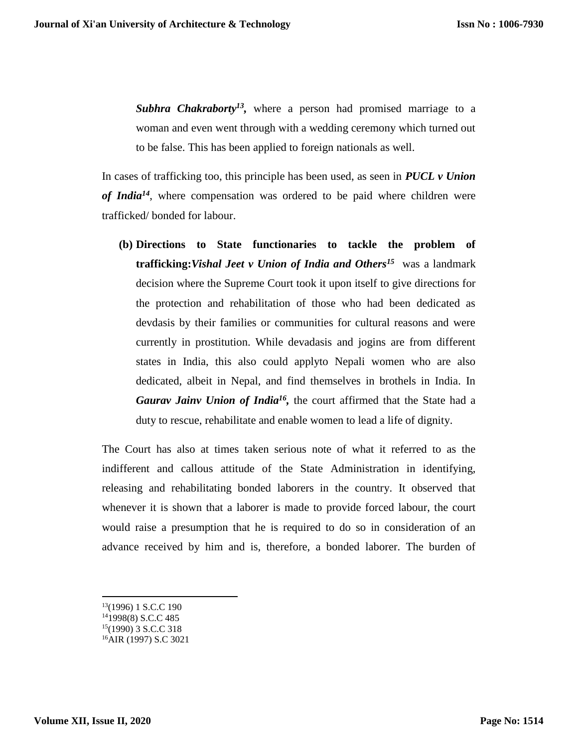Subhra Chakraborty<sup>13</sup>, where a person had promised marriage to a woman and even went through with a wedding ceremony which turned out to be false. This has been applied to foreign nationals as well.

In cases of trafficking too, this principle has been used, as seen in *PUCL v Union of India<sup>14</sup>*, where compensation was ordered to be paid where children were trafficked/ bonded for labour.

**(b) Directions to State functionaries to tackle the problem of trafficking:***Vishal Jeet v Union of India and Others<sup>15</sup>* was a landmark decision where the Supreme Court took it upon itself to give directions for the protection and rehabilitation of those who had been dedicated as devdasis by their families or communities for cultural reasons and were currently in prostitution. While devadasis and jogins are from different states in India, this also could applyto Nepali women who are also dedicated, albeit in Nepal, and find themselves in brothels in India. In *Gaurav Jainv Union of India<sup>16</sup> ,* the court affirmed that the State had a duty to rescue, rehabilitate and enable women to lead a life of dignity.

The Court has also at times taken serious note of what it referred to as the indifferent and callous attitude of the State Administration in identifying, releasing and rehabilitating bonded laborers in the country. It observed that whenever it is shown that a laborer is made to provide forced labour, the court would raise a presumption that he is required to do so in consideration of an advance received by him and is, therefore, a bonded laborer. The burden of

<sup>13</sup>(1996) 1 S.C.C 190

<sup>14</sup>1998(8) S.C.C 485

<sup>15</sup>(1990) 3 S.C.C 318

<sup>16</sup>AIR (1997) S.C 3021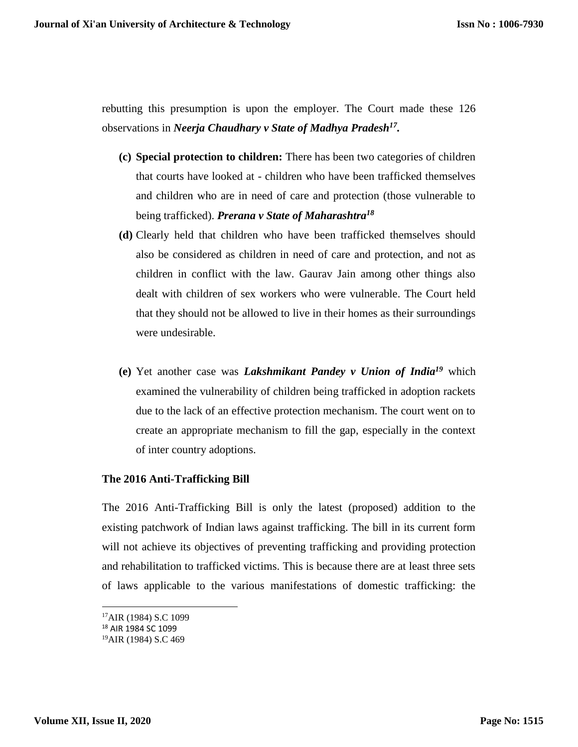rebutting this presumption is upon the employer. The Court made these 126 observations in *Neerja Chaudhary v State of Madhya Pradesh<sup>17</sup> .*

- **(c) Special protection to children:** There has been two categories of children that courts have looked at - children who have been trafficked themselves and children who are in need of care and protection (those vulnerable to being trafficked). *Prerana v State of Maharashtra 18*
- **(d)** Clearly held that children who have been trafficked themselves should also be considered as children in need of care and protection, and not as children in conflict with the law. Gaurav Jain among other things also dealt with children of sex workers who were vulnerable. The Court held that they should not be allowed to live in their homes as their surroundings were undesirable.
- **(e)** Yet another case was *Lakshmikant Pandey v Union of India<sup>19</sup>* which examined the vulnerability of children being trafficked in adoption rackets due to the lack of an effective protection mechanism. The court went on to create an appropriate mechanism to fill the gap, especially in the context of inter country adoptions.

#### **The 2016 Anti-Trafficking Bill**

The 2016 Anti-Trafficking Bill is only the latest (proposed) addition to the existing patchwork of Indian laws against trafficking. The bill in its current form will not achieve its objectives of preventing trafficking and providing protection and rehabilitation to trafficked victims. This is because there are at least three sets of laws applicable to the various manifestations of domestic trafficking: the

<sup>17</sup>AIR (1984) S.C 1099

<sup>18</sup> AIR 1984 SC 1099

<sup>19</sup>AIR (1984) S.C 469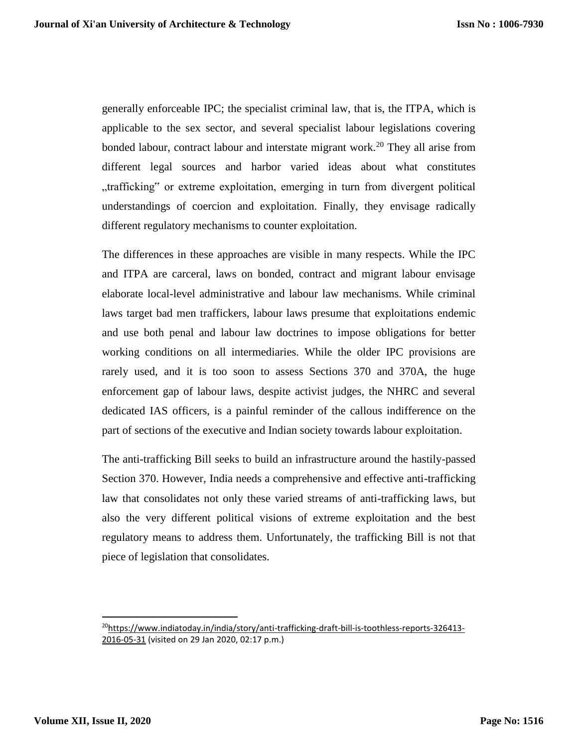generally enforceable IPC; the specialist criminal law, that is, the ITPA, which is applicable to the sex sector, and several specialist labour legislations covering bonded labour, contract labour and interstate migrant work.<sup>20</sup> They all arise from different legal sources and harbor varied ideas about what constitutes "trafficking" or extreme exploitation, emerging in turn from divergent political understandings of coercion and exploitation. Finally, they envisage radically different regulatory mechanisms to counter exploitation.

The differences in these approaches are visible in many respects. While the IPC and ITPA are carceral, laws on bonded, contract and migrant labour envisage elaborate local-level administrative and labour law mechanisms. While criminal laws target bad men traffickers, labour laws presume that exploitations endemic and use both penal and labour law doctrines to impose obligations for better working conditions on all intermediaries. While the older IPC provisions are rarely used, and it is too soon to assess Sections 370 and 370A, the huge enforcement gap of labour laws, despite activist judges, the NHRC and several dedicated IAS officers, is a painful reminder of the callous indifference on the part of sections of the executive and Indian society towards labour exploitation.

The anti-trafficking Bill seeks to build an infrastructure around the hastily-passed Section 370. However, India needs a comprehensive and effective anti-trafficking law that consolidates not only these varied streams of anti-trafficking laws, but also the very different political visions of extreme exploitation and the best regulatory means to address them. Unfortunately, the trafficking Bill is not that piece of legislation that consolidates.

<sup>&</sup>lt;sup>20</sup>[https://www.indiatoday.in/india/story/anti-trafficking-draft-bill-is-toothless-reports-326413-](https://www.indiatoday.in/india/story/anti-trafficking-draft-bill-is-toothless-reports-326413-2016-05-31) [2016-05-31](https://www.indiatoday.in/india/story/anti-trafficking-draft-bill-is-toothless-reports-326413-2016-05-31) (visited on 29 Jan 2020, 02:17 p.m.)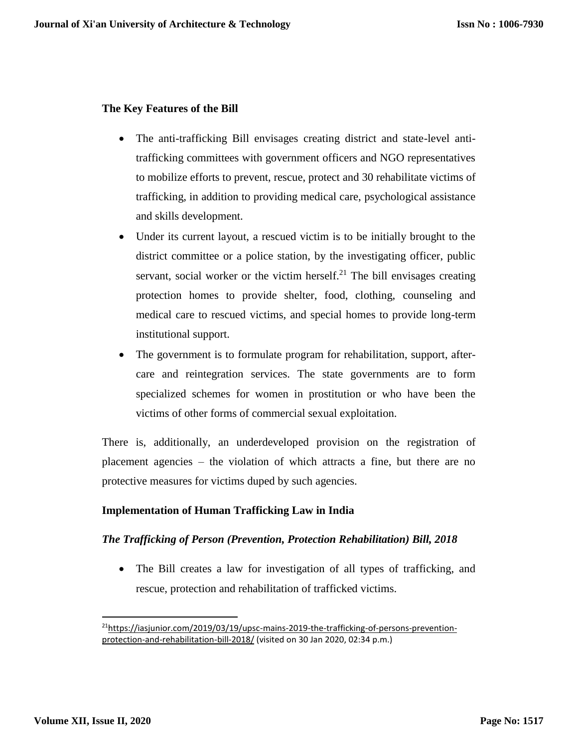# **The Key Features of the Bill**

- The anti-trafficking Bill envisages creating district and state-level antitrafficking committees with government officers and NGO representatives to mobilize efforts to prevent, rescue, protect and 30 rehabilitate victims of trafficking, in addition to providing medical care, psychological assistance and skills development.
- Under its current layout, a rescued victim is to be initially brought to the district committee or a police station, by the investigating officer, public servant, social worker or the victim herself.<sup>21</sup> The bill envisages creating protection homes to provide shelter, food, clothing, counseling and medical care to rescued victims, and special homes to provide long-term institutional support.
- The government is to formulate program for rehabilitation, support, aftercare and reintegration services. The state governments are to form specialized schemes for women in prostitution or who have been the victims of other forms of commercial sexual exploitation.

There is, additionally, an underdeveloped provision on the registration of placement agencies – the violation of which attracts a fine, but there are no protective measures for victims duped by such agencies.

# **Implementation of Human Trafficking Law in India**

# *The Trafficking of Person (Prevention, Protection Rehabilitation) Bill, 2018*

 The Bill creates a law for investigation of all types of trafficking, and rescue, protection and rehabilitation of trafficked victims.

<sup>&</sup>lt;sup>21</sup>[https://iasjunior.com/2019/03/19/upsc-mains-2019-the-trafficking-of-persons-prevention](https://iasjunior.com/2019/03/19/upsc-mains-2019-the-trafficking-of-persons-prevention-protection-and-rehabilitation-bill-2018/)[protection-and-rehabilitation-bill-2018/](https://iasjunior.com/2019/03/19/upsc-mains-2019-the-trafficking-of-persons-prevention-protection-and-rehabilitation-bill-2018/) (visited on 30 Jan 2020, 02:34 p.m.)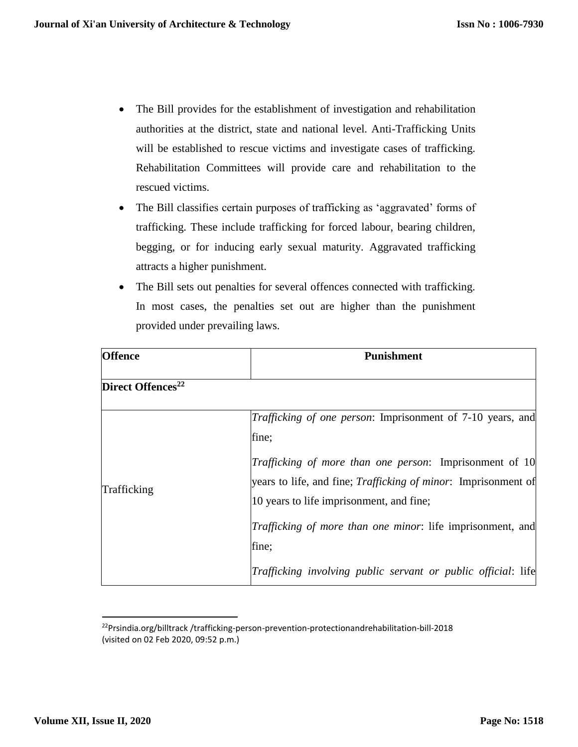- The Bill provides for the establishment of investigation and rehabilitation authorities at the district, state and national level. Anti-Trafficking Units will be established to rescue victims and investigate cases of trafficking. Rehabilitation Committees will provide care and rehabilitation to the rescued victims.
- The Bill classifies certain purposes of trafficking as 'aggravated' forms of trafficking. These include trafficking for forced labour, bearing children, begging, or for inducing early sexual maturity. Aggravated trafficking attracts a higher punishment.
- The Bill sets out penalties for several offences connected with trafficking. In most cases, the penalties set out are higher than the punishment provided under prevailing laws.

| <b>Offence</b>                | <b>Punishment</b>                                                                                                                                                                    |  |  |
|-------------------------------|--------------------------------------------------------------------------------------------------------------------------------------------------------------------------------------|--|--|
| Direct Offences <sup>22</sup> |                                                                                                                                                                                      |  |  |
|                               | Trafficking of one person: Imprisonment of 7-10 years, and<br>fine;                                                                                                                  |  |  |
| Trafficking                   | <i>Trafficking of more than one person:</i> Imprisonment of 10<br>years to life, and fine; <i>Trafficking of minor</i> : Imprisonment of<br>10 years to life imprisonment, and fine; |  |  |
|                               | Trafficking of more than one minor: life imprisonment, and<br>fine;                                                                                                                  |  |  |
|                               | Trafficking involving public servant or public official: life                                                                                                                        |  |  |

<sup>&</sup>lt;sup>22</sup>Prsindia.org/billtrack/trafficking-person-prevention-protectionandrehabilitation-bill-2018 (visited on 02 Feb 2020, 09:52 p.m.)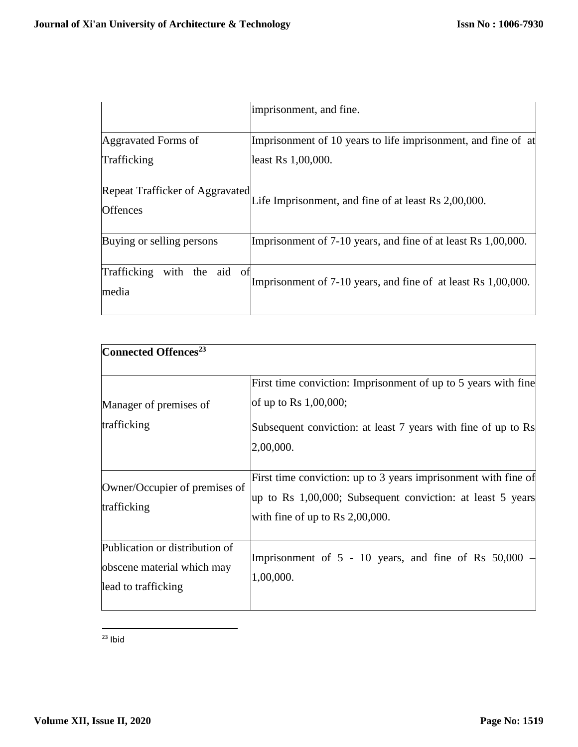|                                                    | imprisonment, and fine.                                       |
|----------------------------------------------------|---------------------------------------------------------------|
| Aggravated Forms of                                | Imprisonment of 10 years to life imprisonment, and fine of at |
| Trafficking                                        | least Rs 1,00,000.                                            |
| Repeat Trafficker of Aggravated<br><b>Offences</b> | Life Imprisonment, and fine of at least Rs 2,00,000.          |
| Buying or selling persons                          | Imprisonment of 7-10 years, and fine of at least Rs 1,00,000. |
| Trafficking<br>with the aid of<br>media            | Imprisonment of 7-10 years, and fine of at least Rs 1,00,000. |

| Connected Offences <sup>23</sup>                                                    |                                                                                                                                                                          |
|-------------------------------------------------------------------------------------|--------------------------------------------------------------------------------------------------------------------------------------------------------------------------|
| Manager of premises of<br>trafficking                                               | First time conviction: Imprisonment of up to 5 years with fine<br>of up to Rs $1,00,000$ ;<br>Subsequent conviction: at least 7 years with fine of up to Rs<br>2,00,000. |
| Owner/Occupier of premises of<br>trafficking                                        | First time conviction: up to 3 years imprisonment with fine of<br>up to Rs 1,00,000; Subsequent conviction: at least 5 years<br>with fine of up to Rs $2,00,000$ .       |
| Publication or distribution of<br>obscene material which may<br>lead to trafficking | Imprisonment of $5 - 10$ years, and fine of Rs $50,000$<br>1,00,000.                                                                                                     |

 $\overline{\phantom{a}}$  $23$  Ibid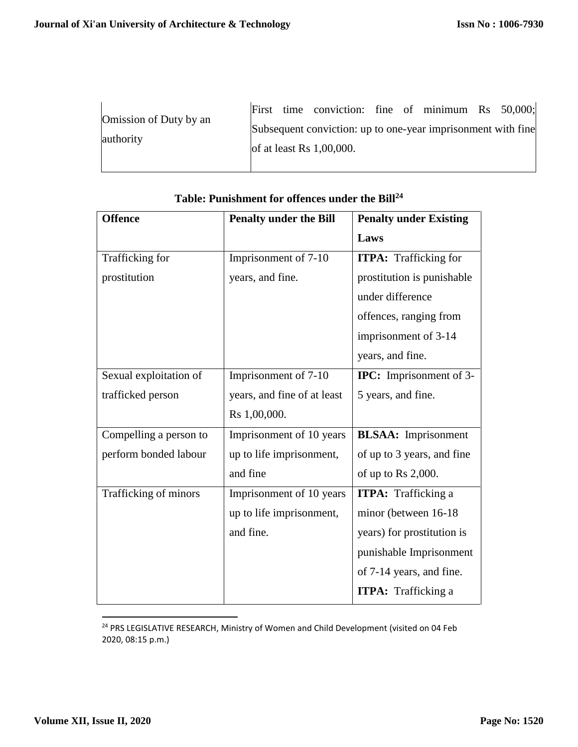|                                     |  | First time conviction: fine of minimum Rs 50,000;                                           |  |  |  |
|-------------------------------------|--|---------------------------------------------------------------------------------------------|--|--|--|
| Omission of Duty by an<br>authority |  | Subsequent conviction: up to one-year imprisonment with fine<br>of at least Rs $1,00,000$ . |  |  |  |
|                                     |  |                                                                                             |  |  |  |

| <b>Offence</b>         | <b>Penalty under the Bill</b> | <b>Penalty under Existing</b>  |  |  |
|------------------------|-------------------------------|--------------------------------|--|--|
|                        |                               | Laws                           |  |  |
| Trafficking for        | Imprisonment of 7-10          | <b>ITPA:</b> Trafficking for   |  |  |
| prostitution           | years, and fine.              | prostitution is punishable     |  |  |
|                        |                               | under difference               |  |  |
|                        |                               | offences, ranging from         |  |  |
|                        |                               | imprisonment of 3-14           |  |  |
|                        |                               | years, and fine.               |  |  |
| Sexual exploitation of | Imprisonment of 7-10          | <b>IPC:</b> Imprisonment of 3- |  |  |
| trafficked person      | years, and fine of at least   | 5 years, and fine.             |  |  |
|                        | Rs 1,00,000.                  |                                |  |  |
| Compelling a person to | Imprisonment of 10 years      | <b>BLSAA:</b> Imprisonment     |  |  |
| perform bonded labour  | up to life imprisonment,      | of up to 3 years, and fine     |  |  |
|                        | and fine                      | of up to Rs $2,000$ .          |  |  |
| Trafficking of minors  | Imprisonment of 10 years      | <b>ITPA:</b> Trafficking a     |  |  |
|                        | up to life imprisonment,      | minor (between 16-18)          |  |  |
|                        | and fine.                     | years) for prostitution is     |  |  |
|                        |                               | punishable Imprisonment        |  |  |
|                        |                               | of 7-14 years, and fine.       |  |  |
|                        |                               | <b>ITPA:</b> Trafficking a     |  |  |

# **Table: Punishment for offences under the Bill<sup>24</sup>**

l <sup>24</sup> PRS LEGISLATIVE RESEARCH, Ministry of Women and Child Development (visited on 04 Feb 2020, 08:15 p.m.)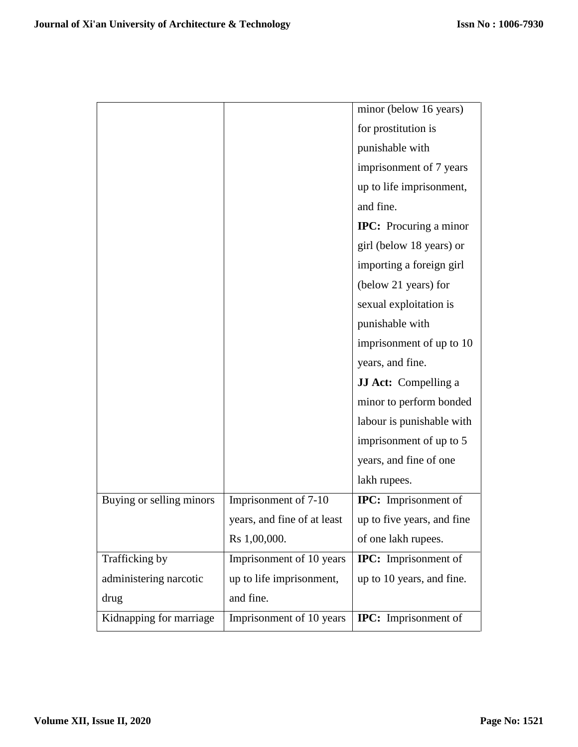|                          |                             | minor (below 16 years)        |
|--------------------------|-----------------------------|-------------------------------|
|                          |                             |                               |
|                          |                             | for prostitution is           |
|                          |                             | punishable with               |
|                          |                             | imprisonment of 7 years       |
|                          |                             | up to life imprisonment,      |
|                          |                             | and fine.                     |
|                          |                             | <b>IPC:</b> Procuring a minor |
|                          |                             | girl (below 18 years) or      |
|                          |                             | importing a foreign girl      |
|                          |                             | (below 21 years) for          |
|                          |                             | sexual exploitation is        |
|                          |                             | punishable with               |
|                          |                             | imprisonment of up to 10      |
|                          |                             | years, and fine.              |
|                          |                             | <b>JJ Act:</b> Compelling a   |
|                          |                             | minor to perform bonded       |
|                          |                             | labour is punishable with     |
|                          |                             | imprisonment of up to 5       |
|                          |                             | years, and fine of one        |
|                          |                             | lakh rupees.                  |
| Buying or selling minors | Imprisonment of 7-10        | <b>IPC:</b> Imprisonment of   |
|                          | years, and fine of at least | up to five years, and fine    |
|                          | Rs 1,00,000.                | of one lakh rupees.           |
| Trafficking by           | Imprisonment of 10 years    | <b>IPC:</b> Imprisonment of   |
| administering narcotic   | up to life imprisonment,    | up to 10 years, and fine.     |
| drug                     | and fine.                   |                               |
| Kidnapping for marriage  | Imprisonment of 10 years    | <b>IPC:</b> Imprisonment of   |
|                          |                             |                               |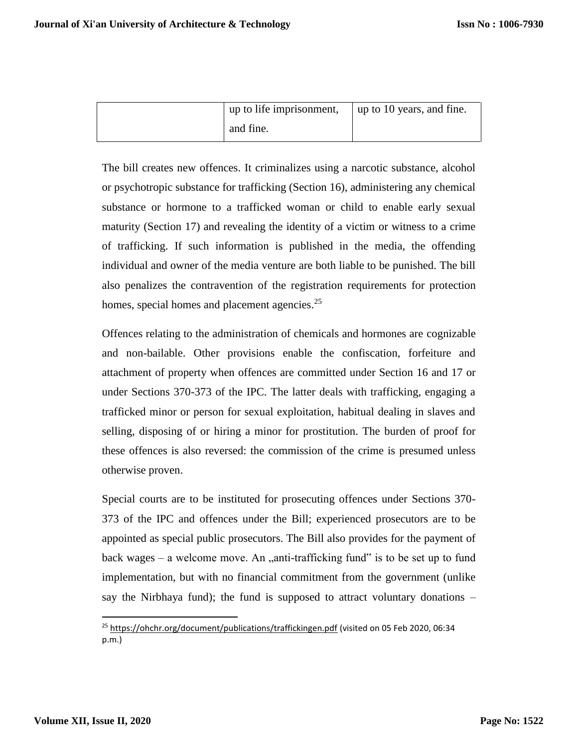| up to life imprisonment, | up to 10 years, and fine. |
|--------------------------|---------------------------|
| and fine.                |                           |

The bill creates new offences. It criminalizes using a narcotic substance, alcohol or psychotropic substance for trafficking (Section 16), administering any chemical substance or hormone to a trafficked woman or child to enable early sexual maturity (Section 17) and revealing the identity of a victim or witness to a crime of trafficking. If such information is published in the media, the offending individual and owner of the media venture are both liable to be punished. The bill also penalizes the contravention of the registration requirements for protection homes, special homes and placement agencies.<sup>25</sup>

Offences relating to the administration of chemicals and hormones are cognizable and non-bailable. Other provisions enable the confiscation, forfeiture and attachment of property when offences are committed under Section 16 and 17 or under Sections 370-373 of the IPC. The latter deals with trafficking, engaging a trafficked minor or person for sexual exploitation, habitual dealing in slaves and selling, disposing of or hiring a minor for prostitution. The burden of proof for these offences is also reversed: the commission of the crime is presumed unless otherwise proven.

Special courts are to be instituted for prosecuting offences under Sections 370- 373 of the IPC and offences under the Bill; experienced prosecutors are to be appointed as special public prosecutors. The Bill also provides for the payment of back wages – a welcome move. An  $\mu$  anti-trafficking fund is to be set up to fund implementation, but with no financial commitment from the government (unlike say the Nirbhaya fund); the fund is supposed to attract voluntary donations  $-$ 

<sup>&</sup>lt;sup>25</sup> <https://ohchr.org/document/publications/traffickingen.pdf> (visited on 05 Feb 2020, 06:34 p.m.)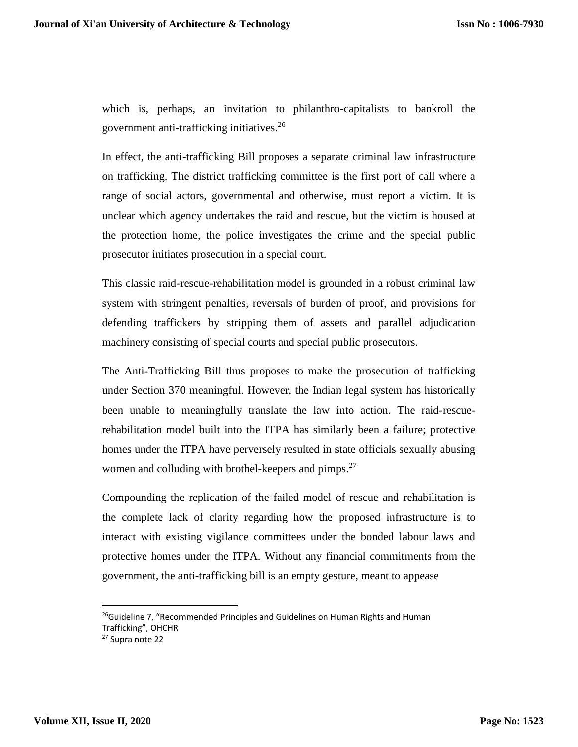which is, perhaps, an invitation to philanthro-capitalists to bankroll the government anti-trafficking initiatives.<sup>26</sup>

In effect, the anti-trafficking Bill proposes a separate criminal law infrastructure on trafficking. The district trafficking committee is the first port of call where a range of social actors, governmental and otherwise, must report a victim. It is unclear which agency undertakes the raid and rescue, but the victim is housed at the protection home, the police investigates the crime and the special public prosecutor initiates prosecution in a special court.

This classic raid-rescue-rehabilitation model is grounded in a robust criminal law system with stringent penalties, reversals of burden of proof, and provisions for defending traffickers by stripping them of assets and parallel adjudication machinery consisting of special courts and special public prosecutors.

The Anti-Trafficking Bill thus proposes to make the prosecution of trafficking under Section 370 meaningful. However, the Indian legal system has historically been unable to meaningfully translate the law into action. The raid-rescuerehabilitation model built into the ITPA has similarly been a failure; protective homes under the ITPA have perversely resulted in state officials sexually abusing women and colluding with brothel-keepers and pimps. $27$ 

Compounding the replication of the failed model of rescue and rehabilitation is the complete lack of clarity regarding how the proposed infrastructure is to interact with existing vigilance committees under the bonded labour laws and protective homes under the ITPA. Without any financial commitments from the government, the anti-trafficking bill is an empty gesture, meant to appease

<sup>&</sup>lt;sup>26</sup>Guideline 7, "Recommended Principles and Guidelines on Human Rights and Human Trafficking", OHCHR

<sup>27</sup> Supra note 22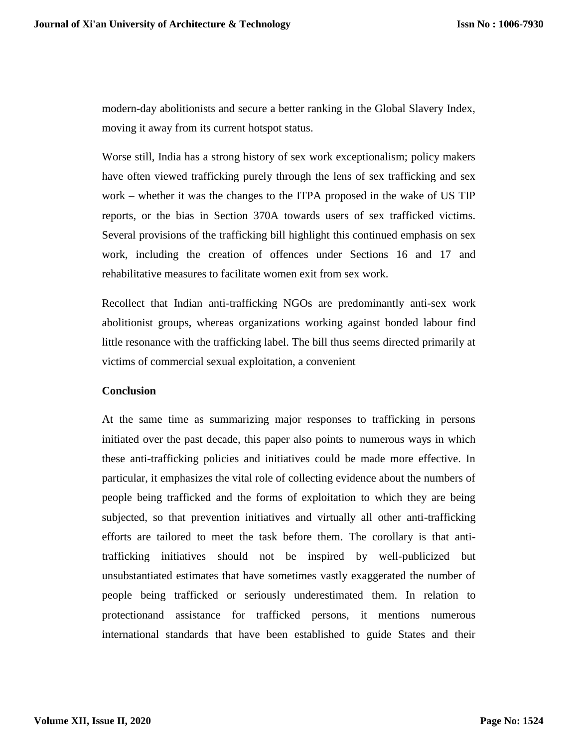modern-day abolitionists and secure a better ranking in the Global Slavery Index, moving it away from its current hotspot status.

Worse still, India has a strong history of sex work exceptionalism; policy makers have often viewed trafficking purely through the lens of sex trafficking and sex work – whether it was the changes to the ITPA proposed in the wake of US TIP reports, or the bias in Section 370A towards users of sex trafficked victims. Several provisions of the trafficking bill highlight this continued emphasis on sex work, including the creation of offences under Sections 16 and 17 and rehabilitative measures to facilitate women exit from sex work.

Recollect that Indian anti-trafficking NGOs are predominantly anti-sex work abolitionist groups, whereas organizations working against bonded labour find little resonance with the trafficking label. The bill thus seems directed primarily at victims of commercial sexual exploitation, a convenient

#### **Conclusion**

At the same time as summarizing major responses to trafficking in persons initiated over the past decade, this paper also points to numerous ways in which these anti-trafficking policies and initiatives could be made more effective. In particular, it emphasizes the vital role of collecting evidence about the numbers of people being trafficked and the forms of exploitation to which they are being subjected, so that prevention initiatives and virtually all other anti-trafficking efforts are tailored to meet the task before them. The corollary is that antitrafficking initiatives should not be inspired by well-publicized but unsubstantiated estimates that have sometimes vastly exaggerated the number of people being trafficked or seriously underestimated them. In relation to protectionand assistance for trafficked persons, it mentions numerous international standards that have been established to guide States and their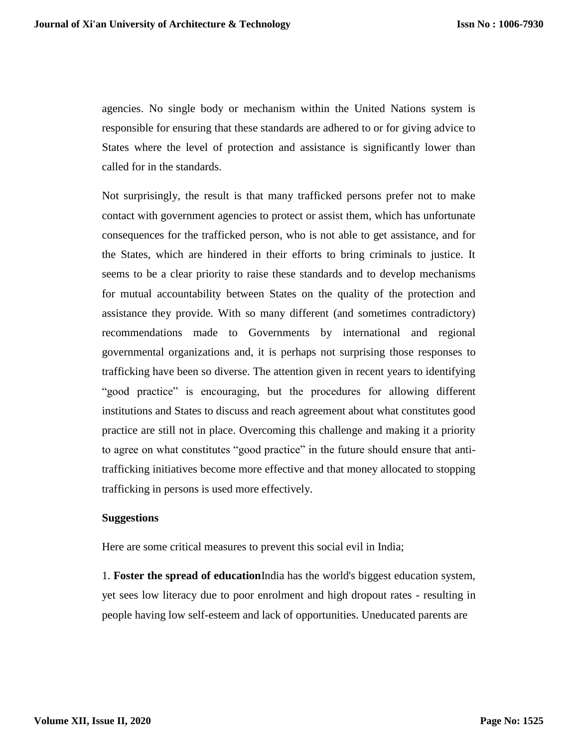agencies. No single body or mechanism within the United Nations system is responsible for ensuring that these standards are adhered to or for giving advice to States where the level of protection and assistance is significantly lower than called for in the standards.

Not surprisingly, the result is that many trafficked persons prefer not to make contact with government agencies to protect or assist them, which has unfortunate consequences for the trafficked person, who is not able to get assistance, and for the States, which are hindered in their efforts to bring criminals to justice. It seems to be a clear priority to raise these standards and to develop mechanisms for mutual accountability between States on the quality of the protection and assistance they provide. With so many different (and sometimes contradictory) recommendations made to Governments by international and regional governmental organizations and, it is perhaps not surprising those responses to trafficking have been so diverse. The attention given in recent years to identifying "good practice" is encouraging, but the procedures for allowing different institutions and States to discuss and reach agreement about what constitutes good practice are still not in place. Overcoming this challenge and making it a priority to agree on what constitutes "good practice" in the future should ensure that antitrafficking initiatives become more effective and that money allocated to stopping trafficking in persons is used more effectively.

#### **Suggestions**

Here are some critical measures to prevent this social evil in India;

1. **Foster the spread of education**India has the world's biggest education system, yet sees low literacy due to poor enrolment and high dropout rates - resulting in people having low self-esteem and lack of opportunities. Uneducated parents are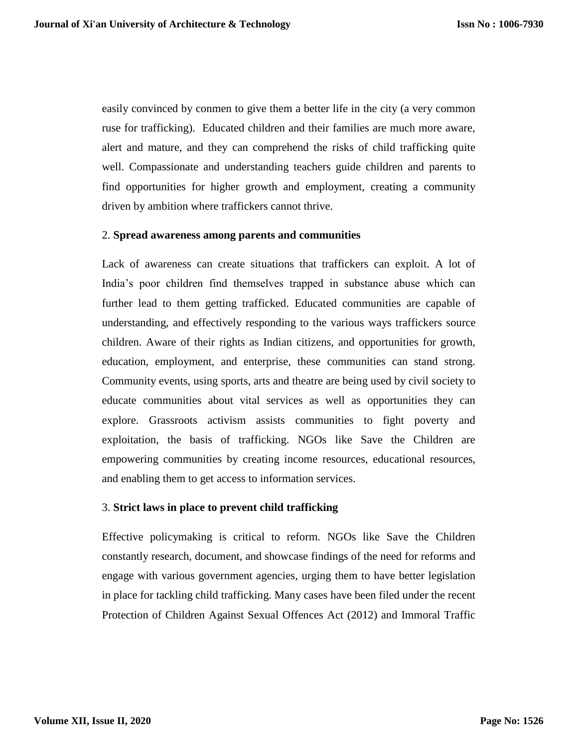easily convinced by conmen to give them a better life in the city (a very common ruse for trafficking). Educated children and their families are much more aware, alert and mature, and they can comprehend the risks of child trafficking quite well. Compassionate and understanding teachers guide children and parents to find opportunities for higher growth and employment, creating a community driven by ambition where traffickers cannot thrive.

# 2. **Spread awareness among parents and communities**

Lack of awareness can create situations that traffickers can exploit. A lot of India's poor children find themselves trapped in substance abuse which can further lead to them getting trafficked. Educated communities are capable of understanding, and effectively responding to the various ways traffickers source children. Aware of their rights as Indian citizens, and opportunities for growth, education, employment, and enterprise, these communities can stand strong. Community events, using sports, arts and theatre are being used by civil society to educate communities about vital services as well as opportunities they can explore. Grassroots activism assists communities to fight poverty and exploitation, the basis of trafficking. NGOs like Save the Children are empowering communities by creating income resources, educational resources, and enabling them to get access to information services.

#### 3. **Strict laws in place to prevent child trafficking**

Effective policymaking is critical to reform. NGOs like Save the Children constantly research, document, and showcase findings of the need for reforms and engage with various government agencies, urging them to have better legislation in place for tackling child trafficking. Many cases have been filed under the recent Protection of Children Against Sexual Offences Act (2012) and Immoral Traffic